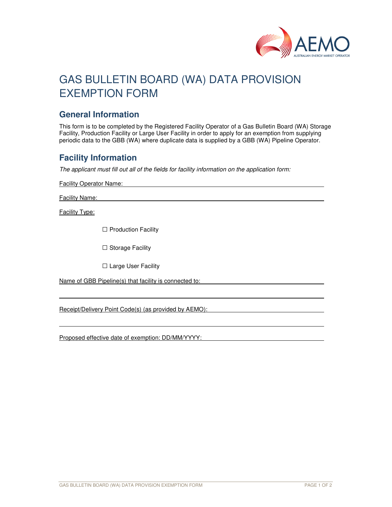

# GAS BULLETIN BOARD (WA) DATA PROVISION EXEMPTION FORM

#### **General Information**

This form is to be completed by the Registered Facility Operator of a Gas Bulletin Board (WA) Storage Facility, Production Facility or Large User Facility in order to apply for an exemption from supplying periodic data to the GBB (WA) where duplicate data is supplied by a GBB (WA) Pipeline Operator.

### **Facility Information**

The applicant must fill out all of the fields for facility information on the application form:

Facility Operator Name:

Facility Name:

Facility Type:

l

□ Production Facility

 $\square$  Storage Facility

□ Large User Facility

Name of GBB Pipeline(s) that facility is connected to:

Receipt/Delivery Point Code(s) (as provided by AEMO):

Proposed effective date of exemption: DD/MM/YYYY: